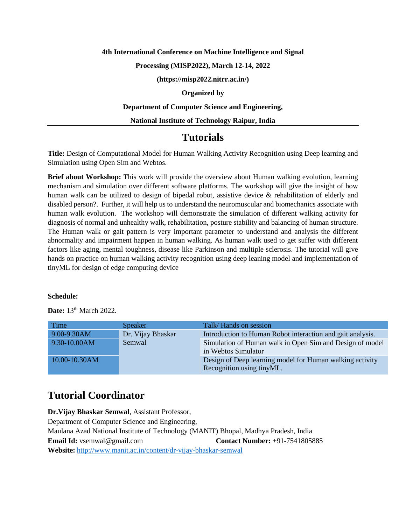#### **4th International Conference on Machine Intelligence and Signal**

## **Processing (MISP2022), March 12-14, 2022**

**(https://misp2022.nitrr.ac.in/)**

## **Organized by**

#### **Department of Computer Science and Engineering,**

## **National Institute of Technology Raipur, India**

## **Tutorials**

**Title:** Design of Computational Model for Human Walking Activity Recognition using Deep learning and Simulation using Open Sim and Webtos.

**Brief about Workshop:** This work will provide the overview about Human walking evolution, learning mechanism and simulation over different software platforms. The workshop will give the insight of how human walk can be utilized to design of bipedal robot, assistive device & rehabilitation of elderly and disabled person?. Further, it will help us to understand the neuromuscular and biomechanics associate with human walk evolution. The workshop will demonstrate the simulation of different walking activity for diagnosis of normal and unhealthy walk, rehabilitation, posture stability and balancing of human structure. The Human walk or gait pattern is very important parameter to understand and analysis the different abnormality and impairment happen in human walking. As human walk used to get suffer with different factors like aging, mental toughness, disease like Parkinson and multiple sclerosis. The tutorial will give hands on practice on human walking activity recognition using deep leaning model and implementation of tinyML for design of edge computing device

#### **Schedule:**

**Date:** 13<sup>th</sup> March 2022.

| Time          | <b>Speaker</b>    | Talk/Hands on session                                                                 |
|---------------|-------------------|---------------------------------------------------------------------------------------|
| 9.00-9.30AM   | Dr. Vijay Bhaskar | Introduction to Human Robot interaction and gait analysis.                            |
| 9.30-10.00AM  | Semwal            | Simulation of Human walk in Open Sim and Design of model<br>in Webtos Simulator       |
| 10.00-10.30AM |                   | Design of Deep learning model for Human walking activity<br>Recognition using tinyML. |

# **Tutorial Coordinator**

**Dr.Vijay Bhaskar Semwal**, Assistant Professor, Department of Computer Science and Engineering, Maulana Azad National Institute of Technology (MANIT) Bhopal, Madhya Pradesh, India **Email Id:** vsemwal@gmail.com **Contact Number:** +91-7541805885 **Website:** <http://www.manit.ac.in/content/dr-vijay-bhaskar-semwal>